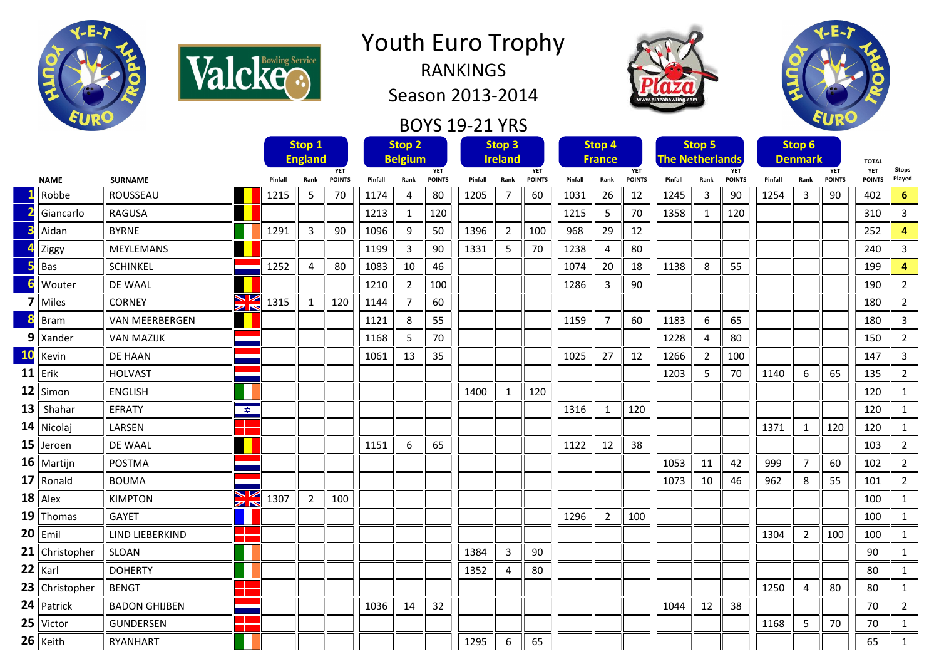



RANKINGS Season 2013-2014

## BOYS 19-21 YRS





|           |                       |                                        |         | Stop 1<br><b>England</b> |                             |         | Stop <sub>2</sub><br><b>Belgium</b> |                             | Stop <sub>3</sub><br><b>Ireland</b> |      |                             | Stop 4<br><b>France</b> |                |                             | <b>Stop 5</b><br><b>The Netherlands</b> |                |                             | Stop 6<br><b>Denmark</b> |                |                             | <b>TOTAL</b>                |                        |
|-----------|-----------------------|----------------------------------------|---------|--------------------------|-----------------------------|---------|-------------------------------------|-----------------------------|-------------------------------------|------|-----------------------------|-------------------------|----------------|-----------------------------|-----------------------------------------|----------------|-----------------------------|--------------------------|----------------|-----------------------------|-----------------------------|------------------------|
|           | <b>NAME</b>           | <b>SURNAME</b>                         | Pinfall | Rank                     | <b>YET</b><br><b>POINTS</b> | Pinfall | Rank                                | <b>YET</b><br><b>POINTS</b> | Pinfall                             | Rank | <b>YET</b><br><b>POINTS</b> | Pinfall                 | Rank           | <b>YET</b><br><b>POINTS</b> | Pinfall                                 | Rank           | <b>YET</b><br><b>POINTS</b> | Pinfall                  | Rank           | <b>YET</b><br><b>POINTS</b> | <b>YET</b><br><b>POINTS</b> | <b>Stops</b><br>Played |
|           | Robbe                 | ROUSSEAU                               | 1215    | 5                        | 70                          | 1174    | 4                                   | 80                          | 1205                                | 7    | 60                          | 1031                    | 26             | 12                          | 1245                                    | 3              | 90                          | 1254                     | 3              | 90                          | 402                         | 6                      |
|           | Giancarlo             | <b>RAGUSA</b>                          |         |                          |                             | 1213    | 1                                   | 120                         |                                     |      |                             | 1215                    | 5              | 70                          | 1358                                    | 1              | 120                         |                          |                |                             | 310                         | 3                      |
|           | Aidan                 | <b>BYRNE</b>                           | 1291    | 3                        | 90                          | 1096    | 9                                   | 50                          | 1396                                | 2    | 100                         | 968                     | 29             | 12                          |                                         |                |                             |                          |                |                             | 252                         | 4                      |
|           | Ziggy                 | <b>MEYLEMANS</b>                       |         |                          |                             | 1199    | 3                                   | 90                          | 1331                                | 5    | 70                          | 1238                    | 4              | 80                          |                                         |                |                             |                          |                |                             | 240                         | 3                      |
|           | Bas                   | <b>SCHINKEL</b>                        | 1252    | 4                        | 80                          | 1083    | 10                                  | 46                          |                                     |      |                             | 1074                    | 20             | 18                          | 1138                                    | 8              | 55                          |                          |                |                             | 199                         | 4                      |
|           | Wouter                | <b>DE WAAL</b>                         |         |                          |                             | 1210    | $\overline{2}$                      | 100                         |                                     |      |                             | 1286                    | 3              | 90                          |                                         |                |                             |                          |                |                             | 190                         | $\overline{2}$         |
|           | Miles                 | M<br>⊼<br><b>CORNEY</b>                | 1315    | 1                        | 120                         | 1144    | $\overline{7}$                      | 60                          |                                     |      |                             |                         |                |                             |                                         |                |                             |                          |                |                             | 180                         | $\overline{2}$         |
|           | <b>Bram</b>           | <b>VAN MEERBERGEN</b>                  |         |                          |                             | 1121    | 8                                   | 55                          |                                     |      |                             | 1159                    | $\overline{7}$ | 60                          | 1183                                    | 6              | 65                          |                          |                |                             | 180                         | 3                      |
|           | $9$   Xander          | <b>VAN MAZIJK</b>                      |         |                          |                             | 1168    | 5                                   | 70                          |                                     |      |                             |                         |                |                             | 1228                                    | 4              | 80                          |                          |                |                             | 150                         | $\overline{2}$         |
| <b>10</b> | Kevin                 | DE HAAN                                |         |                          |                             | 1061    | 13                                  | 35                          |                                     |      |                             | 1025                    | 27             | 12                          | 1266                                    | $\overline{2}$ | 100                         |                          |                |                             | 147                         | 3                      |
| 11        | Erik                  | <b>HOLVAST</b>                         |         |                          |                             |         |                                     |                             |                                     |      |                             |                         |                |                             | 1203                                    | 5              | 70                          | 1140                     | 6              | 65                          | 135                         | $\overline{2}$         |
|           | $12$ Simon            | <b>ENGLISH</b>                         |         |                          |                             |         |                                     |                             | 1400                                | 1    | 120                         |                         |                |                             |                                         |                |                             |                          |                |                             | 120                         | $\mathbf{1}$           |
| 13        | Shahar                | $\frac{1}{\sqrt{2}}$<br>EFRATY         |         |                          |                             |         |                                     |                             |                                     |      |                             | 1316                    | 1              | 120                         |                                         |                |                             |                          |                |                             | 120                         | $\mathbf{1}$           |
|           | $14$ Nicolaj          | LARSEN                                 |         |                          |                             |         |                                     |                             |                                     |      |                             |                         |                |                             |                                         |                |                             | 1371                     | $\mathbf{1}$   | 120                         | 120                         | $\mathbf{1}$           |
|           | $15$ Jeroen           | DE WAAL                                |         |                          |                             | 1151    | 6                                   | 65                          |                                     |      |                             | 1122                    | 12             | 38                          |                                         |                |                             |                          |                |                             | 103                         | $\overline{2}$         |
|           | $16$ Martijn          | <b>POSTMA</b>                          |         |                          |                             |         |                                     |                             |                                     |      |                             |                         |                |                             | 1053                                    | 11             | 42                          | 999                      | 7              | 60                          | 102                         | $\overline{2}$         |
|           | $17$ Ronald           | <b>BOUMA</b>                           |         |                          |                             |         |                                     |                             |                                     |      |                             |                         |                |                             | 1073                                    | 10             | 46                          | 962                      | 8              | 55                          | 101                         | $\overline{2}$         |
|           | $18$ Alex             | ↘⇙<br><b>KIMPTON</b><br>$\blacksquare$ | 1307    | 2                        | 100                         |         |                                     |                             |                                     |      |                             |                         |                |                             |                                         |                |                             |                          |                |                             | 100                         | 1                      |
|           | $19$ Thomas           | <b>GAYET</b>                           |         |                          |                             |         |                                     |                             |                                     |      |                             | 1296                    | $\overline{2}$ | 100                         |                                         |                |                             |                          |                |                             | 100                         | $\mathbf{1}$           |
|           | $20$ Emil             | -11<br>LIND LIEBERKIND                 |         |                          |                             |         |                                     |                             |                                     |      |                             |                         |                |                             |                                         |                |                             | 1304                     | $\overline{2}$ | 100                         | 100                         | $\mathbf{1}$           |
|           | <b>21</b> Christopher | <b>SLOAN</b>                           |         |                          |                             |         |                                     |                             | 1384                                | 3    | 90                          |                         |                |                             |                                         |                |                             |                          |                |                             | 90                          | $\mathbf{1}$           |
|           | $22$ Karl             | <b>DOHERTY</b>                         |         |                          |                             |         |                                     |                             | 1352                                | 4    | 80                          |                         |                |                             |                                         |                |                             |                          |                |                             | 80                          | $\mathbf{1}$           |
|           | $23$ Christopher      | <b>BENGT</b>                           |         |                          |                             |         |                                     |                             |                                     |      |                             |                         |                |                             |                                         |                |                             | 1250                     | 4              | 80                          | 80                          | $\mathbf{1}$           |
|           | $24$ Patrick          | <b>BADON GHIJBEN</b>                   |         |                          |                             | 1036    | 14                                  | 32                          |                                     |      |                             |                         |                |                             | 1044                                    | 12             | 38                          |                          |                |                             | 70                          | $\overline{2}$         |
|           | $25$ Victor           | <b>GUNDERSEN</b>                       |         |                          |                             |         |                                     |                             |                                     |      |                             |                         |                |                             |                                         |                |                             | 1168                     | 5              | 70                          | 70                          | 1                      |
|           | $26$ Keith            | RYANHART                               |         |                          |                             |         |                                     |                             | 1295                                | 6    | 65                          |                         |                |                             |                                         |                |                             |                          |                |                             | 65                          | $\mathbf{1}$           |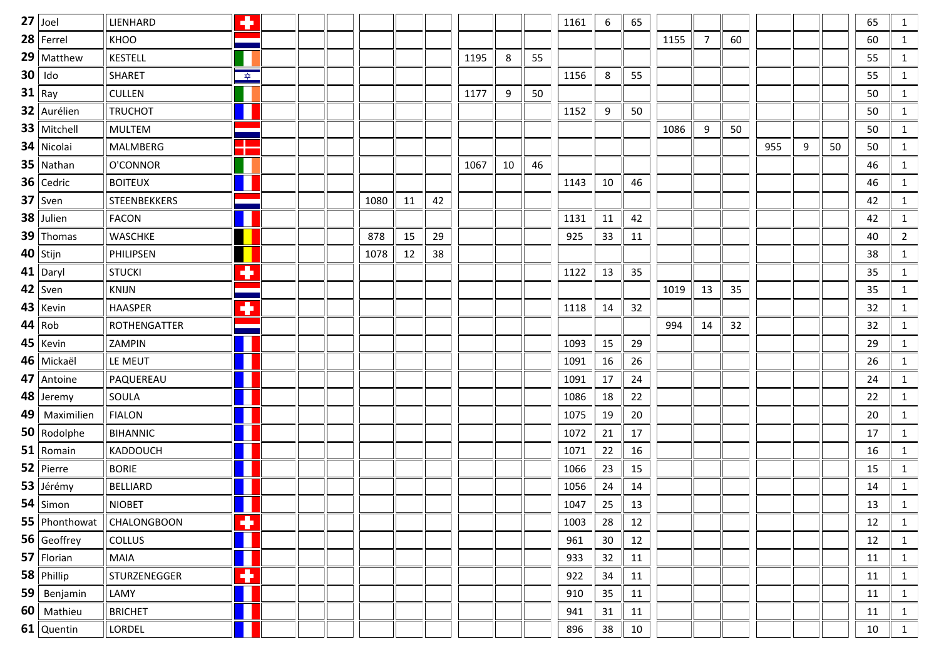| $27$ Joel       | LIENHARD            | ٠                    |  |      |    |    |      |    |    | 1161 | 6  | 65 |      |    |    |     |   |    | 65 | 1              |
|-----------------|---------------------|----------------------|--|------|----|----|------|----|----|------|----|----|------|----|----|-----|---|----|----|----------------|
| $28$   Ferrel   | <b>KHOO</b>         |                      |  |      |    |    |      |    |    |      |    |    | 1155 | 7  | 60 |     |   |    | 60 | $\mathbf{1}$   |
| $29$ Matthew    | <b>KESTELL</b>      |                      |  |      |    |    | 1195 | 8  | 55 |      |    |    |      |    |    |     |   |    | 55 | $\mathbf{1}$   |
| $30$ Ido        | <b>SHARET</b>       | $\frac{1}{\sqrt{2}}$ |  |      |    |    |      |    |    | 1156 | 8  | 55 |      |    |    |     |   |    | 55 | $\mathbf{1}$   |
| $31$ Ray        | <b>CULLEN</b>       |                      |  |      |    |    | 1177 | 9  | 50 |      |    |    |      |    |    |     |   |    | 50 | $\mathbf{1}$   |
| 32 Aurélien     | <b>TRUCHOT</b>      |                      |  |      |    |    |      |    |    | 1152 | 9  | 50 |      |    |    |     |   |    | 50 | $\mathbf{1}$   |
| 33   Mitchell   | <b>MULTEM</b>       |                      |  |      |    |    |      |    |    |      |    |    | 1086 | 9  | 50 |     |   |    | 50 | $\mathbf{1}$   |
| 34 Nicolai      | <b>MALMBERG</b>     | $\Box$<br>т          |  |      |    |    |      |    |    |      |    |    |      |    |    | 955 | 9 | 50 | 50 | $\mathbf{1}$   |
| $35$ Nathan     | O'CONNOR            |                      |  |      |    |    | 1067 | 10 | 46 |      |    |    |      |    |    |     |   |    | 46 | $\mathbf{1}$   |
| $36$ Cedric     | <b>BOITEUX</b>      |                      |  |      |    |    |      |    |    | 1143 | 10 | 46 |      |    |    |     |   |    | 46 | 1              |
| $37$ Sven       | <b>STEENBEKKERS</b> |                      |  | 1080 | 11 | 42 |      |    |    |      |    |    |      |    |    |     |   |    | 42 | $\mathbf{1}$   |
| 38 Julien       | <b>FACON</b>        | ╻                    |  |      |    |    |      |    |    | 1131 | 11 | 42 |      |    |    |     |   |    | 42 | $\mathbf{1}$   |
| $39$ Thomas     | <b>WASCHKE</b>      |                      |  | 878  | 15 | 29 |      |    |    | 925  | 33 | 11 |      |    |    |     |   |    | 40 | $\overline{2}$ |
| $40$ Stijn      | PHILIPSEN           |                      |  | 1078 | 12 | 38 |      |    |    |      |    |    |      |    |    |     |   |    | 38 | $\mathbf{1}$   |
| $41$ Daryl      | <b>STUCKI</b>       | ۰                    |  |      |    |    |      |    |    | 1122 | 13 | 35 |      |    |    |     |   |    | 35 | $\mathbf{1}$   |
| $42$ Sven       | <b>KNIJN</b>        |                      |  |      |    |    |      |    |    |      |    |    | 1019 | 13 | 35 |     |   |    | 35 | $\mathbf{1}$   |
| $43$   Kevin    | <b>HAASPER</b>      | ۰                    |  |      |    |    |      |    |    | 1118 | 14 | 32 |      |    |    |     |   |    | 32 | $\mathbf{1}$   |
| 44 Rob          | ROTHENGATTER        |                      |  |      |    |    |      |    |    |      |    |    | 994  | 14 | 32 |     |   |    | 32 | 1              |
| $45$   Kevin    | ZAMPIN              |                      |  |      |    |    |      |    |    | 1093 | 15 | 29 |      |    |    |     |   |    | 29 | 1              |
| 46   Mickaël    | LE MEUT             |                      |  |      |    |    |      |    |    | 1091 | 16 | 26 |      |    |    |     |   |    | 26 | $\mathbf{1}$   |
| 47 Antoine      | PAQUEREAU           | ╻                    |  |      |    |    |      |    |    | 1091 | 17 | 24 |      |    |    |     |   |    | 24 | $\mathbf{1}$   |
| 48 Jeremy       | SOULA               | Н                    |  |      |    |    |      |    |    | 1086 | 18 | 22 |      |    |    |     |   |    | 22 | $\mathbf{1}$   |
| 49   Maximilien | <b>FIALON</b>       |                      |  |      |    |    |      |    |    | 1075 | 19 | 20 |      |    |    |     |   |    | 20 | $\mathbf{1}$   |
| 50 Rodolphe     | <b>BIHANNIC</b>     |                      |  |      |    |    |      |    |    | 1072 | 21 | 17 |      |    |    |     |   |    | 17 | $\mathbf{1}$   |
| $51$ Romain     | KADDOUCH            |                      |  |      |    |    |      |    |    | 1071 | 22 | 16 |      |    |    |     |   |    | 16 | $\mathbf{1}$   |
| $52$ Pierre     | <b>BORIE</b>        |                      |  |      |    |    |      |    |    | 1066 | 23 | 15 |      |    |    |     |   |    | 15 | $\mathbf{1}$   |
| 53 Jérémy       | <b>BELLIARD</b>     | ╻                    |  |      |    |    |      |    |    | 1056 | 24 | 14 |      |    |    |     |   |    | 14 | $\mathbf{1}$   |
| $54$ Simon      | <b>NIOBET</b>       |                      |  |      |    |    |      |    |    | 1047 | 25 | 13 |      |    |    |     |   |    | 13 | $\mathbf{1}$   |
| $55$ Phonthowat | CHALONGBOON         | ۰                    |  |      |    |    |      |    |    | 1003 | 28 | 12 |      |    |    |     |   |    | 12 | $\mathbf{1}$   |
| 56 Geoffrey     | <b>COLLUS</b>       | H                    |  |      |    |    |      |    |    | 961  | 30 | 12 |      |    |    |     |   |    | 12 | $\mathbf{1}$   |
| $57$ Florian    | <b>MAIA</b>         | Ш                    |  |      |    |    |      |    |    | 933  | 32 | 11 |      |    |    |     |   |    | 11 | $\mathbf{1}$   |
| $58$ Phillip    | STURZENEGGER        | ٠                    |  |      |    |    |      |    |    | 922  | 34 | 11 |      |    |    |     |   |    | 11 | $\mathbf{1}$   |
| $59$ Benjamin   | LAMY                | H                    |  |      |    |    |      |    |    | 910  | 35 | 11 |      |    |    |     |   |    | 11 | $\mathbf{1}$   |
| 60 Mathieu      | <b>BRICHET</b>      |                      |  |      |    |    |      |    |    | 941  | 31 | 11 |      |    |    |     |   |    | 11 | $\mathbf{1}$   |
| 61 Quentin      | LORDEL              |                      |  |      |    |    |      |    |    | 896  | 38 | 10 |      |    |    |     |   |    | 10 | $\mathbf{1}$   |